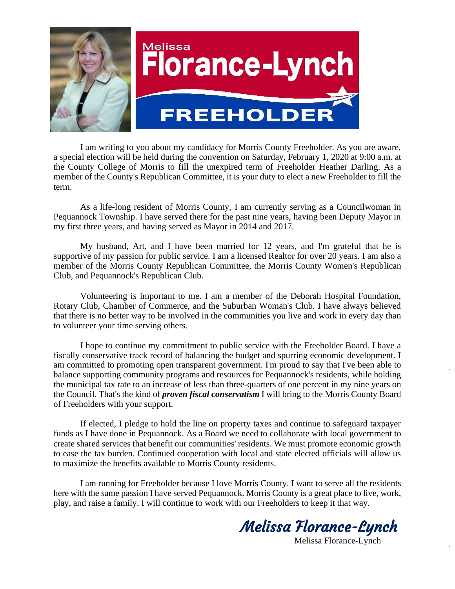

I am writing to you about my candidacy for Morris County Freeholder. As you are aware, a special election will be held during the convention on Saturday, February 1, 2020 at 9:00 a.m. at the County College of Morris to fill the unexpired term of Freeholder Heather Darling. As a member of the County's Republican Committee, it is your duty to elect a new Freeholder to fill the term.

As a life-long resident of Morris County, I am currently serving as a Councilwoman in Pequannock Township. I have served there for the past nine years, having been Deputy Mayor in my first three years, and having served as Mayor in 2014 and 2017.

My husband, Art, and I have been married for 12 years, and I'm grateful that he is supportive of my passion for public service. I am a licensed Realtor for over 20 years. I am also a member of the Morris County Republican Committee, the Morris County Women's Republican Club, and Pequannock's Republican Club.

Volunteering is important to me. I am a member of the Deborah Hospital Foundation, Rotary Club, Chamber of Commerce, and the Suburban Woman's Club. I have always believed that there is no better way to be involved in the communities you live and work in every day than to volunteer your time serving others.

I hope to continue my commitment to public service with the Freeholder Board. I have a fiscally conservative track record of balancing the budget and spurring economic development. I am committed to promoting open transparent government. I'm proud to say that I've been able to balance supporting community programs and resources for Pequannock's residents, while holding the municipal tax rate to an increase of less than three-quarters of one percent in my nine years on the Council. That's the kind of *proven fiscal conservatism* I will bring to the Morris County Board of Freeholders with your support.

If elected, I pledge to hold the line on property taxes and continue to safeguard taxpayer funds as I have done in Pequannock. As a Board we need to collaborate with local government to create shared services that benefit our communities' residents. We must promote economic growth to ease the tax burden. Continued cooperation with local and state elected officials will allow us to maximize the benefits available to Morris County residents.

I am running for Freeholder because I love Morris County. I want to serve all the residents here with the same passion I have served Pequannock. Morris County is a great place to live, work, play, and raise a family. I will continue to work with our Freeholders to keep it that way.

Melissa Florance-Lynch Melissa Florance-Lynch